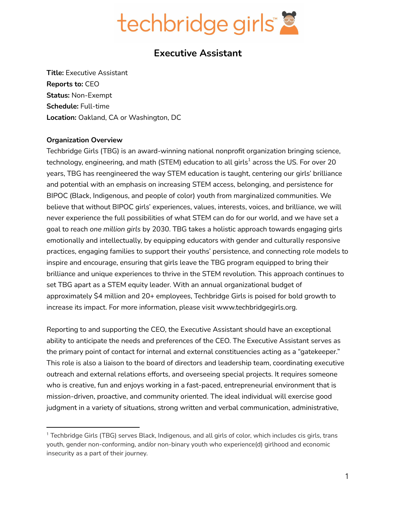

## **Executive Assistant**

**Title:** Executive Assistant **Reports to:** CEO **Status:** Non-Exempt **Schedule:** Full-time **Location:** Oakland, CA or Washington, DC

#### **Organization Overview**

Techbridge Girls (TBG) is an award-winning national nonprofit organization bringing science, technology, engineering, and math (STEM) education to all girls $^{\rm 1}$  across the US. For over 20 years, TBG has reengineered the way STEM education is taught, centering our girls' brilliance and potential with an emphasis on increasing STEM access, belonging, and persistence for BIPOC (Black, Indigenous, and people of color) youth from marginalized communities. We believe that without BIPOC girls' experiences, values, interests, voices, and brilliance, we will never experience the full possibilities of what STEM can do for our world, and we have set a goal to reach *one million girls* by 2030. TBG takes a holistic approach towards engaging girls emotionally and intellectually, by equipping educators with gender and culturally responsive practices, engaging families to support their youths' persistence, and connecting role models to inspire and encourage, ensuring that girls leave the TBG program equipped to bring their brilliance and unique experiences to thrive in the STEM revolution. This approach continues to set TBG apart as a STEM equity leader. With an annual organizational budget of approximately \$4 million and 20+ employees, Techbridge Girls is poised for bold growth to increase its impact. For more information, please visit www.techbridgegirls.org.

Reporting to and supporting the CEO, the Executive Assistant should have an exceptional ability to anticipate the needs and preferences of the CEO. The Executive Assistant serves as the primary point of contact for internal and external constituencies acting as a "gatekeeper." This role is also a liaison to the board of directors and leadership team, coordinating executive outreach and external relations efforts, and overseeing special projects. It requires someone who is creative, fun and enjoys working in a fast-paced, entrepreneurial environment that is mission-driven, proactive, and community oriented. The ideal individual will exercise good judgment in a variety of situations, strong written and verbal communication, administrative,

<sup>&</sup>lt;sup>1</sup> Techbridge Girls (TBG) serves Black, Indigenous, and all girls of color, which includes cis girls, trans youth, gender non-conforming, and/or non-binary youth who experience(d) girlhood and economic insecurity as a part of their journey.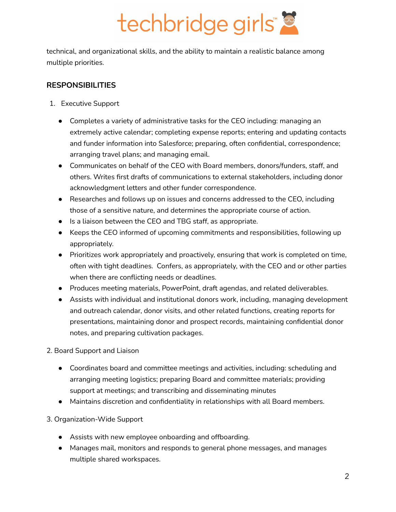# techbridge girls"

technical, and organizational skills, and the ability to maintain a realistic balance among multiple priorities.

### **RESPONSIBILITIES**

- 1. Executive Support
	- Completes a variety of administrative tasks for the CEO including: managing an extremely active calendar; completing expense reports; entering and updating contacts and funder information into Salesforce; preparing, often confidential, correspondence; arranging travel plans; and managing email.
	- Communicates on behalf of the CEO with Board members, donors/funders, staff, and others. Writes first drafts of communications to external stakeholders, including donor acknowledgment letters and other funder correspondence.
	- Researches and follows up on issues and concerns addressed to the CEO, including those of a sensitive nature, and determines the appropriate course of action.
	- Is a liaison between the CEO and TBG staff, as appropriate.
	- Keeps the CEO informed of upcoming commitments and responsibilities, following up appropriately.
	- Prioritizes work appropriately and proactively, ensuring that work is completed on time, often with tight deadlines. Confers, as appropriately, with the CEO and or other parties when there are conflicting needs or deadlines.
	- Produces meeting materials, PowerPoint, draft agendas, and related deliverables.
	- Assists with individual and institutional donors work, including, managing development and outreach calendar, donor visits, and other related functions, creating reports for presentations, maintaining donor and prospect records, maintaining confidential donor notes, and preparing cultivation packages.

2. Board Support and Liaison

- Coordinates board and committee meetings and activities, including: scheduling and arranging meeting logistics; preparing Board and committee materials; providing support at meetings; and transcribing and disseminating minutes
- Maintains discretion and confidentiality in relationships with all Board members.
- 3. Organization-Wide Support
	- Assists with new employee onboarding and offboarding.
	- Manages mail, monitors and responds to general phone messages, and manages multiple shared workspaces.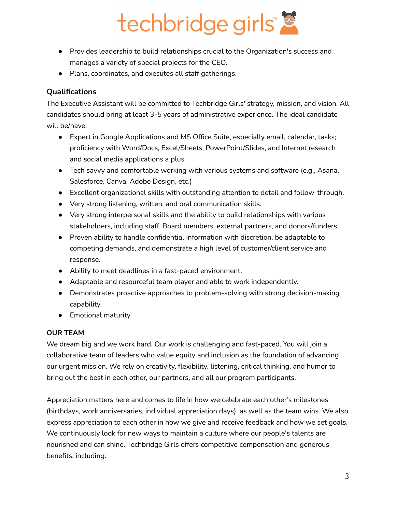# techbridge girls"

- Provides leadership to build relationships crucial to the Organization's success and manages a variety of special projects for the CEO.
- Plans, coordinates, and executes all staff gatherings.

### **Qualifications**

The Executive Assistant will be committed to Techbridge Girls' strategy, mission, and vision. All candidates should bring at least 3-5 years of administrative experience. The ideal candidate will be/have:

- Expert in Google Applications and MS Office Suite, especially email, calendar, tasks; proficiency with Word/Docs, Excel/Sheets, PowerPoint/Slides, and Internet research and social media applications a plus.
- Tech savvy and comfortable working with various systems and software (e.g., Asana, Salesforce, Canva, Adobe Design, etc.)
- Excellent organizational skills with outstanding attention to detail and follow-through.
- Very strong listening, written, and oral communication skills.
- Very strong interpersonal skills and the ability to build relationships with various stakeholders, including staff, Board members, external partners, and donors/funders.
- Proven ability to handle confidential information with discretion, be adaptable to competing demands, and demonstrate a high level of customer/client service and response.
- Ability to meet deadlines in a fast-paced environment.
- Adaptable and resourceful team player and able to work independently.
- Demonstrates proactive approaches to problem-solving with strong decision-making capability.
- Emotional maturity.

### **OUR TEAM**

We dream big and we work hard. Our work is challenging and fast-paced. You will join a collaborative team of leaders who value equity and inclusion as the foundation of advancing our urgent mission. We rely on creativity, flexibility, listening, critical thinking, and humor to bring out the best in each other, our partners, and all our program participants.

Appreciation matters here and comes to life in how we celebrate each other's milestones (birthdays, work anniversaries, individual appreciation days), as well as the team wins. We also express appreciation to each other in how we give and receive feedback and how we set goals. We continuously look for new ways to maintain a culture where our people's talents are nourished and can shine. Techbridge Girls offers competitive compensation and generous benefits, including: